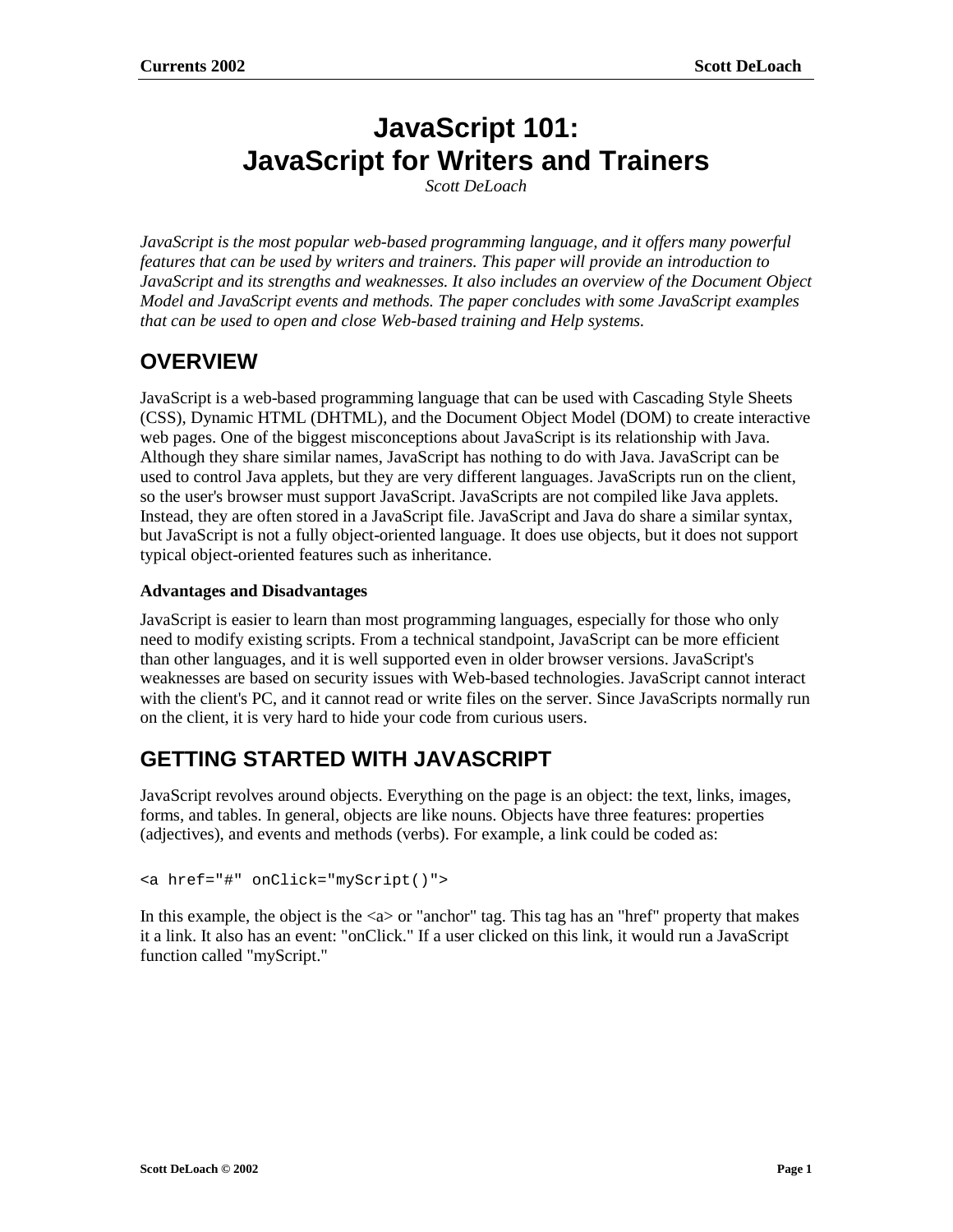# **JavaScript 101: JavaScript for Writers and Trainers**

*Scott DeLoach*

*JavaScript is the most popular web-based programming language, and it offers many powerful features that can be used by writers and trainers. This paper will provide an introduction to JavaScript and its strengths and weaknesses. It also includes an overview of the Document Object Model and JavaScript events and methods. The paper concludes with some JavaScript examples that can be used to open and close Web-based training and Help systems.*

## **OVERVIEW**

JavaScript is a web-based programming language that can be used with Cascading Style Sheets (CSS), Dynamic HTML (DHTML), and the Document Object Model (DOM) to create interactive web pages. One of the biggest misconceptions about JavaScript is its relationship with Java. Although they share similar names, JavaScript has nothing to do with Java. JavaScript can be used to control Java applets, but they are very different languages. JavaScripts run on the client, so the user's browser must support JavaScript. JavaScripts are not compiled like Java applets. Instead, they are often stored in a JavaScript file. JavaScript and Java do share a similar syntax, but JavaScript is not a fully object-oriented language. It does use objects, but it does not support typical object-oriented features such as inheritance.

#### **Advantages and Disadvantages**

JavaScript is easier to learn than most programming languages, especially for those who only need to modify existing scripts. From a technical standpoint, JavaScript can be more efficient than other languages, and it is well supported even in older browser versions. JavaScript's weaknesses are based on security issues with Web-based technologies. JavaScript cannot interact with the client's PC, and it cannot read or write files on the server. Since JavaScripts normally run on the client, it is very hard to hide your code from curious users.

## **GETTING STARTED WITH JAVASCRIPT**

JavaScript revolves around objects. Everything on the page is an object: the text, links, images, forms, and tables. In general, objects are like nouns. Objects have three features: properties (adjectives), and events and methods (verbs). For example, a link could be coded as:

```
<a href="#" onClick="myScript()">
```
In this example, the object is the  $\langle a \rangle$  or "anchor" tag. This tag has an "href" property that makes it a link. It also has an event: "onClick." If a user clicked on this link, it would run a JavaScript function called "myScript."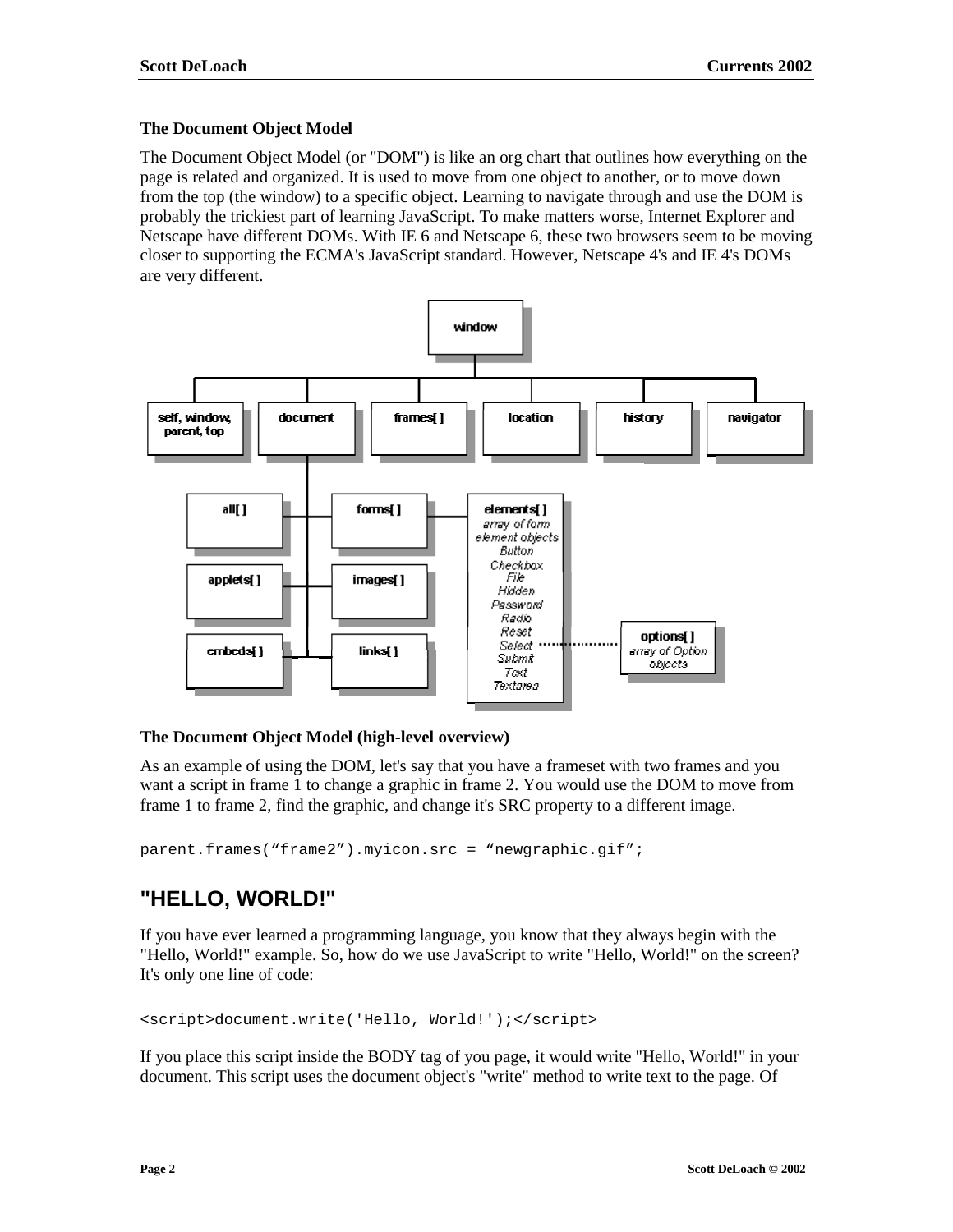#### **The Document Object Model**

The Document Object Model (or "DOM") is like an org chart that outlines how everything on the page is related and organized. It is used to move from one object to another, or to move down from the top (the window) to a specific object. Learning to navigate through and use the DOM is probably the trickiest part of learning JavaScript. To make matters worse, Internet Explorer and Netscape have different DOMs. With IE 6 and Netscape 6, these two browsers seem to be moving closer to supporting the ECMA's JavaScript standard. However, Netscape 4's and IE 4's DOMs are very different.



#### **The Document Object Model (high-level overview)**

As an example of using the DOM, let's say that you have a frameset with two frames and you want a script in frame 1 to change a graphic in frame 2. You would use the DOM to move from frame 1 to frame 2, find the graphic, and change it's SRC property to a different image.

parent.frames("frame2").myicon.src = "newgraphic.gif";

## **"HELLO, WORLD!"**

If you have ever learned a programming language, you know that they always begin with the "Hello, World!" example. So, how do we use JavaScript to write "Hello, World!" on the screen? It's only one line of code:

<script>document.write('Hello, World!');</script>

If you place this script inside the BODY tag of you page, it would write "Hello, World!" in your document. This script uses the document object's "write" method to write text to the page. Of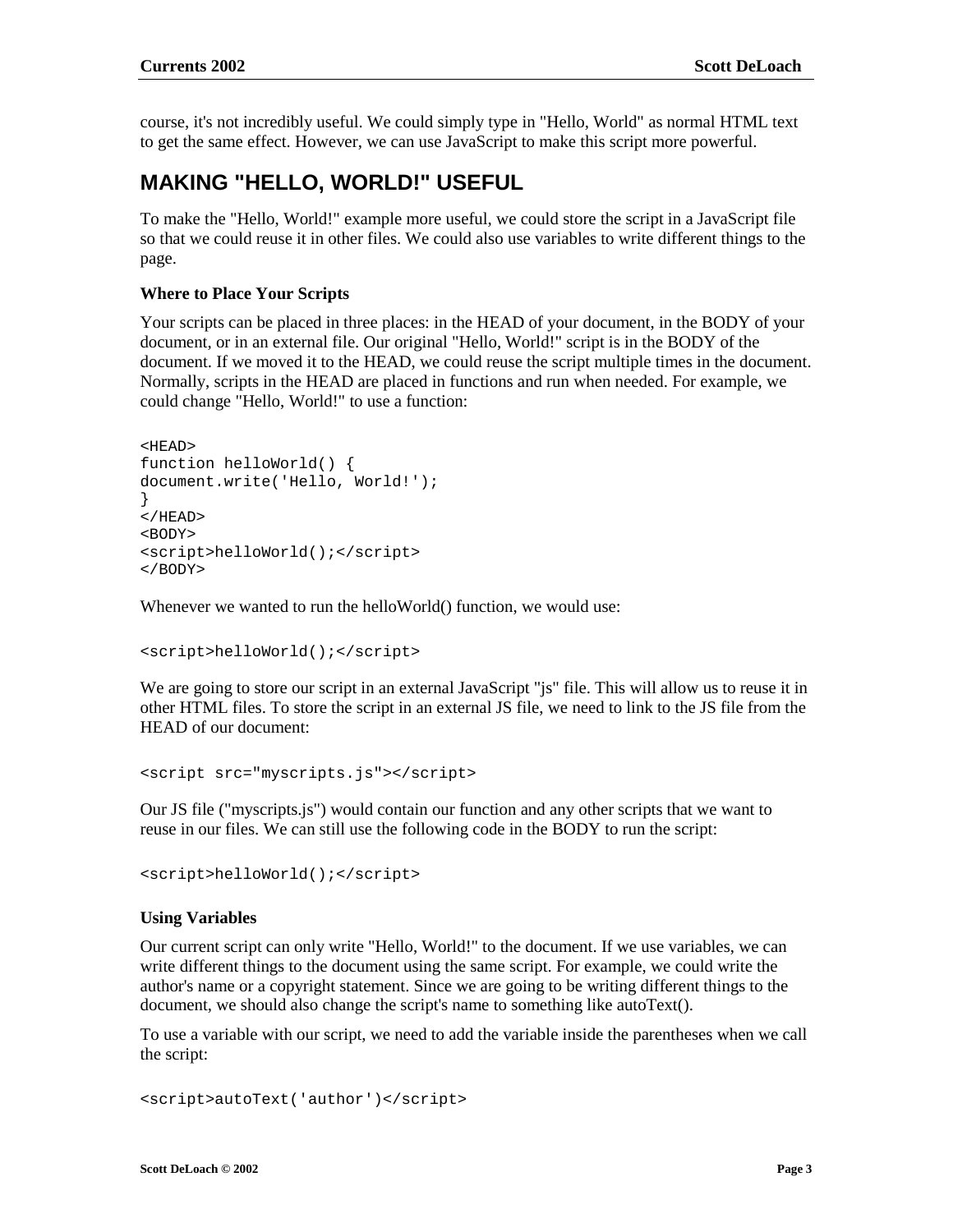course, it's not incredibly useful. We could simply type in "Hello, World" as normal HTML text to get the same effect. However, we can use JavaScript to make this script more powerful.

### **MAKING "HELLO, WORLD!" USEFUL**

To make the "Hello, World!" example more useful, we could store the script in a JavaScript file so that we could reuse it in other files. We could also use variables to write different things to the page.

#### **Where to Place Your Scripts**

Your scripts can be placed in three places: in the HEAD of your document, in the BODY of your document, or in an external file. Our original "Hello, World!" script is in the BODY of the document. If we moved it to the HEAD, we could reuse the script multiple times in the document. Normally, scripts in the HEAD are placed in functions and run when needed. For example, we could change "Hello, World!" to use a function:

```
<HEAD>
function helloWorld() {
document.write('Hello, World!');
}
</HEAD>
<BODY>
<script>helloWorld();</script>
</BODY>
```
Whenever we wanted to run the helloWorld() function, we would use:

```
<script>helloWorld();</script>
```
We are going to store our script in an external JavaScript "is" file. This will allow us to reuse it in other HTML files. To store the script in an external JS file, we need to link to the JS file from the HEAD of our document:

```
<script src="myscripts.js"></script>
```
Our JS file ("myscripts.js") would contain our function and any other scripts that we want to reuse in our files. We can still use the following code in the BODY to run the script:

<script>helloWorld();</script>

#### **Using Variables**

Our current script can only write "Hello, World!" to the document. If we use variables, we can write different things to the document using the same script. For example, we could write the author's name or a copyright statement. Since we are going to be writing different things to the document, we should also change the script's name to something like autoText().

To use a variable with our script, we need to add the variable inside the parentheses when we call the script:

```
<script>autoText('author')</script>
```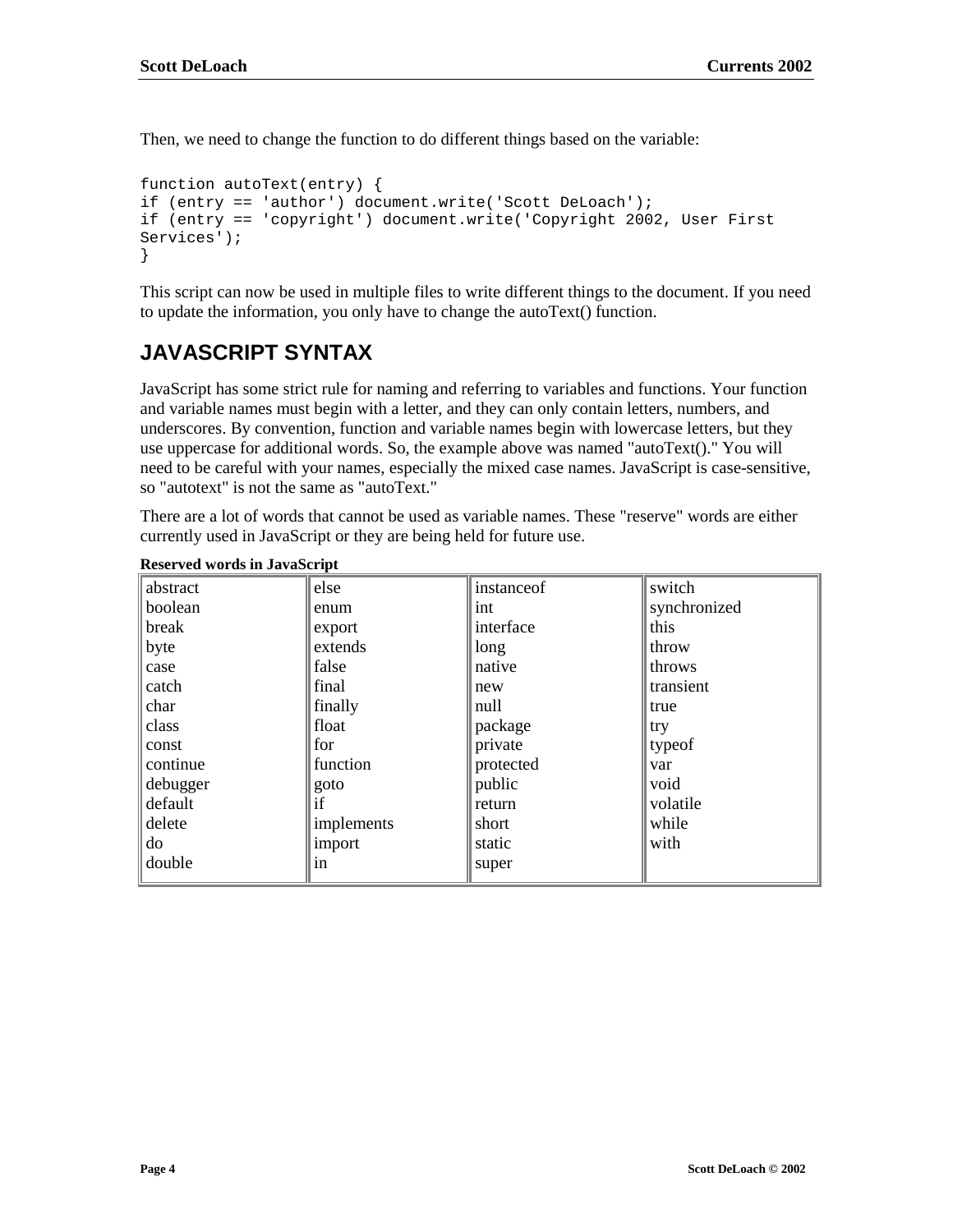Then, we need to change the function to do different things based on the variable:

```
function autoText(entry) {
if (entry == 'author') document.write('Scott DeLoach');
if (entry == 'copyright') document.write('Copyright 2002, User First
Services');
}
```
This script can now be used in multiple files to write different things to the document. If you need to update the information, you only have to change the autoText() function.

## **JAVASCRIPT SYNTAX**

JavaScript has some strict rule for naming and referring to variables and functions. Your function and variable names must begin with a letter, and they can only contain letters, numbers, and underscores. By convention, function and variable names begin with lowercase letters, but they use uppercase for additional words. So, the example above was named "autoText()." You will need to be careful with your names, especially the mixed case names. JavaScript is case-sensitive, so "autotext" is not the same as "autoText."

There are a lot of words that cannot be used as variable names. These "reserve" words are either currently used in JavaScript or they are being held for future use.

| abstract | else       | instance of | switch       |
|----------|------------|-------------|--------------|
| boolean  | enum       | int         | synchronized |
| break    | export     | interface   | this         |
| byte     | extends    | long        | throw        |
| case     | false      | native      | throws       |
| catch    | final      | new         | transient    |
| char     | finally    | null        | true         |
| class    | float      | package     | try          |
| const    | for        | private     | typeof       |
| continue | function   | protected   | var          |
| debugger | goto       | public      | void         |
| default  | if         | return      | volatile     |
| delete   | implements | short       | while        |
| do       | import     | static      | with         |
| double   | in         | super       |              |

**Reserved words in JavaScript**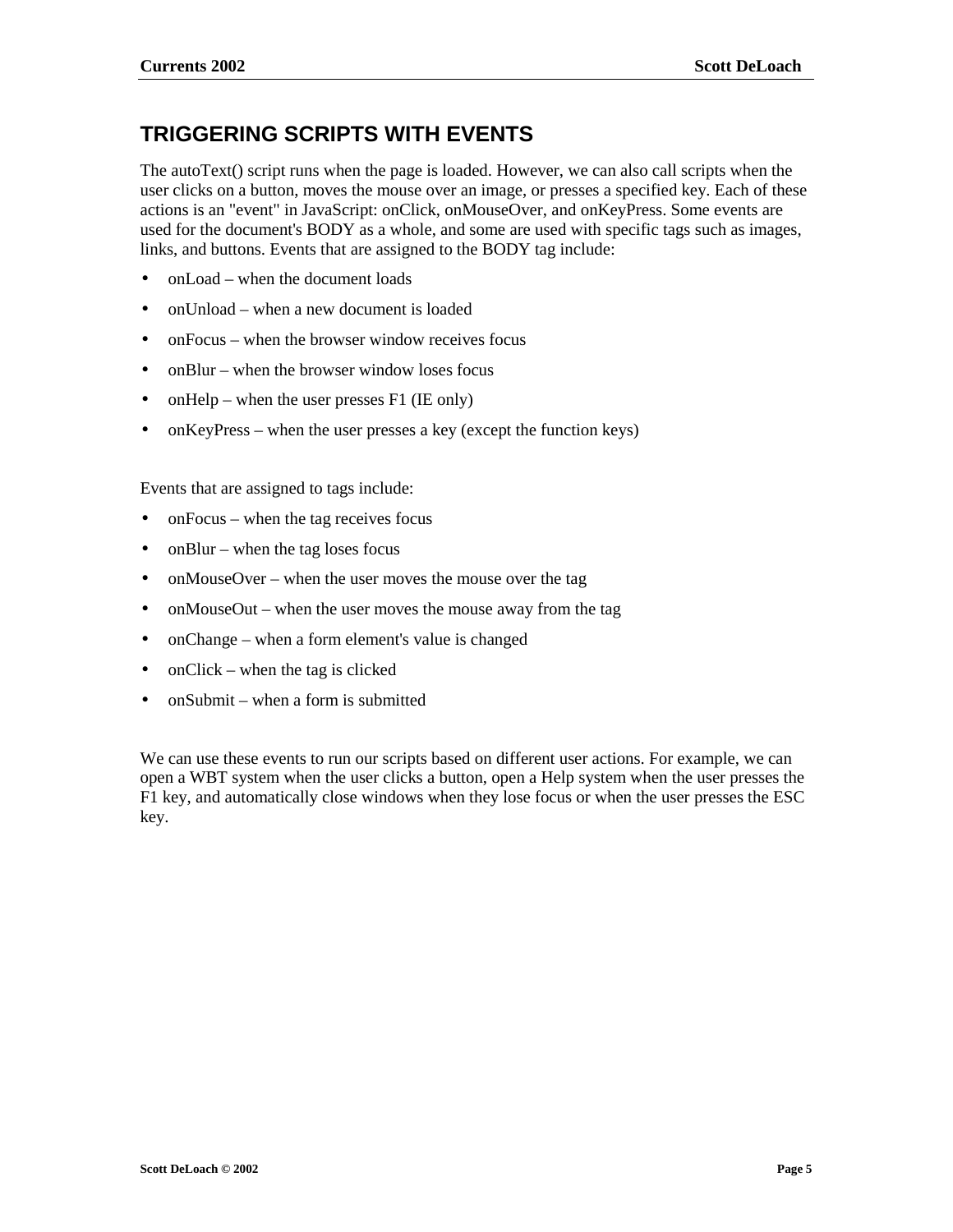## **TRIGGERING SCRIPTS WITH EVENTS**

The autoText() script runs when the page is loaded. However, we can also call scripts when the user clicks on a button, moves the mouse over an image, or presses a specified key. Each of these actions is an "event" in JavaScript: onClick, onMouseOver, and onKeyPress. Some events are used for the document's BODY as a whole, and some are used with specific tags such as images, links, and buttons. Events that are assigned to the BODY tag include:

- onLoad when the document loads
- onUnload when a new document is loaded
- onFocus when the browser window receives focus
- onBlur when the browser window loses focus
- onHelp when the user presses F1 (IE only)
- onKeyPress when the user presses a key (except the function keys)

Events that are assigned to tags include:

- onFocus when the tag receives focus
- onBlur when the tag loses focus
- onMouseOver when the user moves the mouse over the tag
- onMouseOut when the user moves the mouse away from the tag
- onChange when a form element's value is changed
- onClick when the tag is clicked
- onSubmit when a form is submitted

We can use these events to run our scripts based on different user actions. For example, we can open a WBT system when the user clicks a button, open a Help system when the user presses the F1 key, and automatically close windows when they lose focus or when the user presses the ESC key.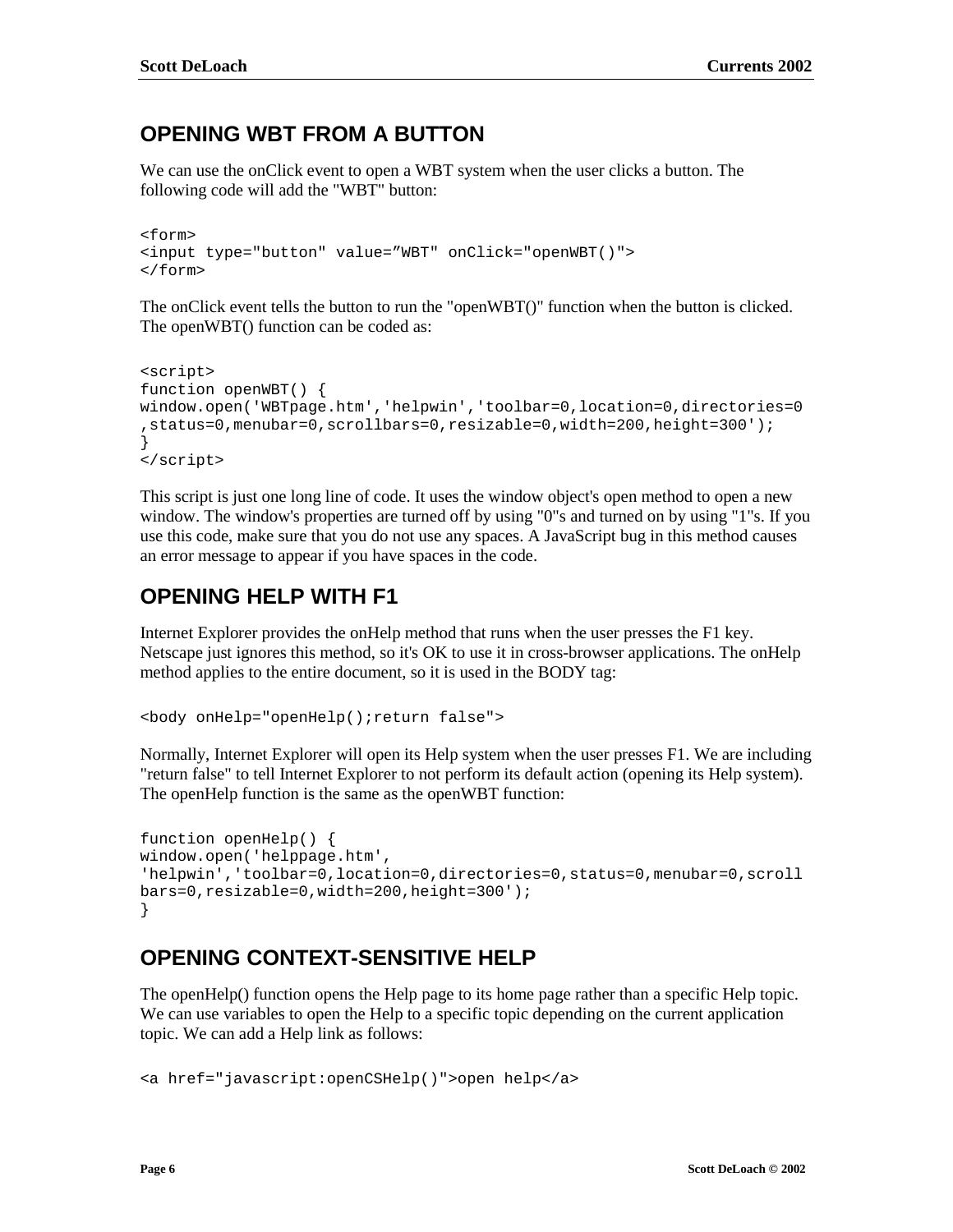### **OPENING WBT FROM A BUTTON**

We can use the onClick event to open a WBT system when the user clicks a button. The following code will add the "WBT" button:

```
<form>
<input type="button" value="WBT" onClick="openWBT()">
</form>
```
The onClick event tells the button to run the "openWBT()" function when the button is clicked. The openWBT() function can be coded as:

```
<script>
function openWBT() {
window.open('WBTpage.htm','helpwin','toolbar=0,location=0,directories=0
,status=0,menubar=0,scrollbars=0,resizable=0,width=200,height=300');
}
</script>
```
This script is just one long line of code. It uses the window object's open method to open a new window. The window's properties are turned off by using "0"s and turned on by using "1"s. If you use this code, make sure that you do not use any spaces. A JavaScript bug in this method causes an error message to appear if you have spaces in the code.

## **OPENING HELP WITH F1**

Internet Explorer provides the onHelp method that runs when the user presses the F1 key. Netscape just ignores this method, so it's OK to use it in cross-browser applications. The onHelp method applies to the entire document, so it is used in the BODY tag:

<body onHelp="openHelp();return false">

Normally, Internet Explorer will open its Help system when the user presses F1. We are including "return false" to tell Internet Explorer to not perform its default action (opening its Help system). The openHelp function is the same as the openWBT function:

```
function openHelp() {
window.open('helppage.htm',
'helpwin','toolbar=0,location=0,directories=0,status=0,menubar=0,scroll
bars=0,resizable=0,width=200,height=300');
}
```
## **OPENING CONTEXT-SENSITIVE HELP**

The openHelp() function opens the Help page to its home page rather than a specific Help topic. We can use variables to open the Help to a specific topic depending on the current application topic. We can add a Help link as follows:

```
<a href="javascript:openCSHelp()">open help</a>
```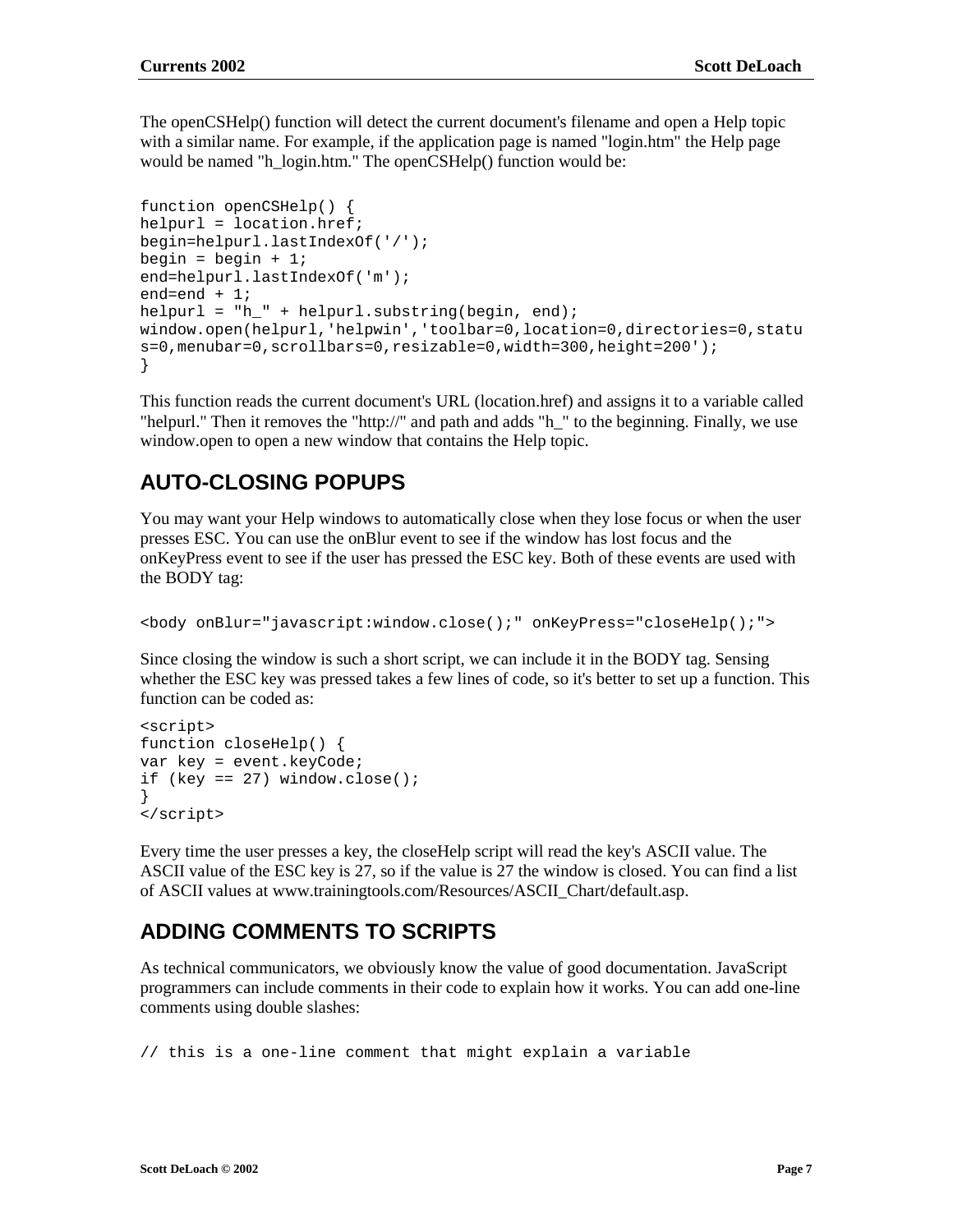The openCSHelp() function will detect the current document's filename and open a Help topic with a similar name. For example, if the application page is named "login.htm" the Help page would be named "h\_login.htm." The openCSHelp() function would be:

```
function openCSHelp() {
helpurl = location.href;
begin=helpurl.lastIndexOf('/');
begin = begin + 1;
end=helpurl.lastIndexOf('m');
end=end + 1;
helpurl = "h_" + helpurl.substring(begin, end);
window.open(helpurl,'helpwin','toolbar=0,location=0,directories=0,statu
s=0,menubar=0,scrollbars=0,resizable=0,width=300,height=200');
}
```
This function reads the current document's URL (location.href) and assigns it to a variable called "helpurl." Then it removes the "http://" and path and adds "h\_" to the beginning. Finally, we use window.open to open a new window that contains the Help topic.

## **AUTO-CLOSING POPUPS**

You may want your Help windows to automatically close when they lose focus or when the user presses ESC. You can use the onBlur event to see if the window has lost focus and the onKeyPress event to see if the user has pressed the ESC key. Both of these events are used with the BODY tag:

```
<body onBlur="javascript:window.close();" onKeyPress="closeHelp();">
```
Since closing the window is such a short script, we can include it in the BODY tag. Sensing whether the ESC key was pressed takes a few lines of code, so it's better to set up a function. This function can be coded as:

```
<script>
function closeHelp() {
var key = event.keyCode;
if (key == 27) window.close();
}
</script>
```
Every time the user presses a key, the closeHelp script will read the key's ASCII value. The ASCII value of the ESC key is 27, so if the value is 27 the window is closed. You can find a list of ASCII values at www.trainingtools.com/Resources/ASCII\_Chart/default.asp.

## **ADDING COMMENTS TO SCRIPTS**

As technical communicators, we obviously know the value of good documentation. JavaScript programmers can include comments in their code to explain how it works. You can add one-line comments using double slashes:

```
// this is a one-line comment that might explain a variable
```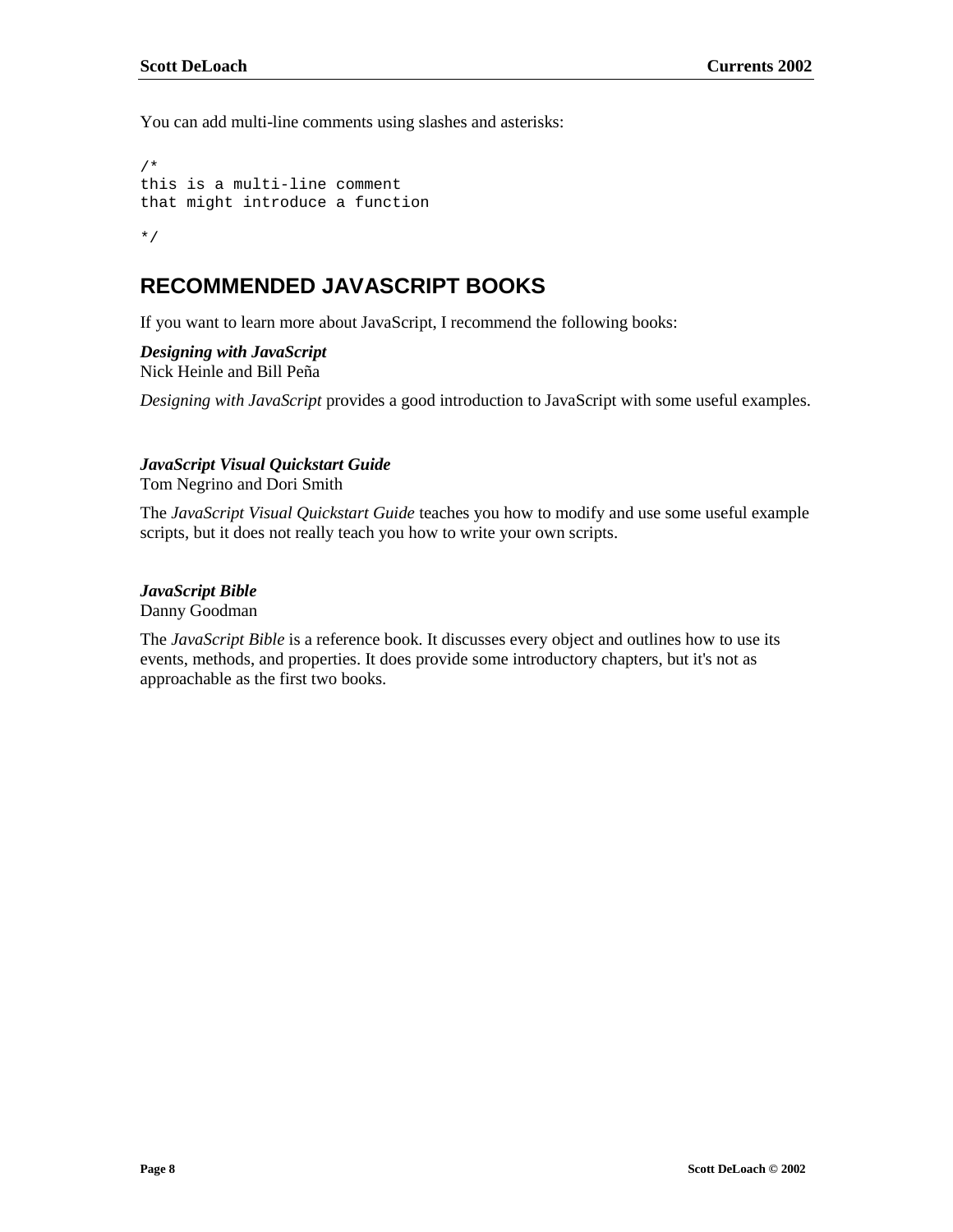You can add multi-line comments using slashes and asterisks:

```
/*
this is a multi-line comment
that might introduce a function
*/
```
### **RECOMMENDED JAVASCRIPT BOOKS**

If you want to learn more about JavaScript, I recommend the following books:

*Designing with JavaScript* Nick Heinle and Bill Peña

*Designing with JavaScript* provides a good introduction to JavaScript with some useful examples.

#### *JavaScript Visual Quickstart Guide*

Tom Negrino and Dori Smith

The *JavaScript Visual Quickstart Guide* teaches you how to modify and use some useful example scripts, but it does not really teach you how to write your own scripts.

### *JavaScript Bible*

Danny Goodman

The *JavaScript Bible* is a reference book. It discusses every object and outlines how to use its events, methods, and properties. It does provide some introductory chapters, but it's not as approachable as the first two books.